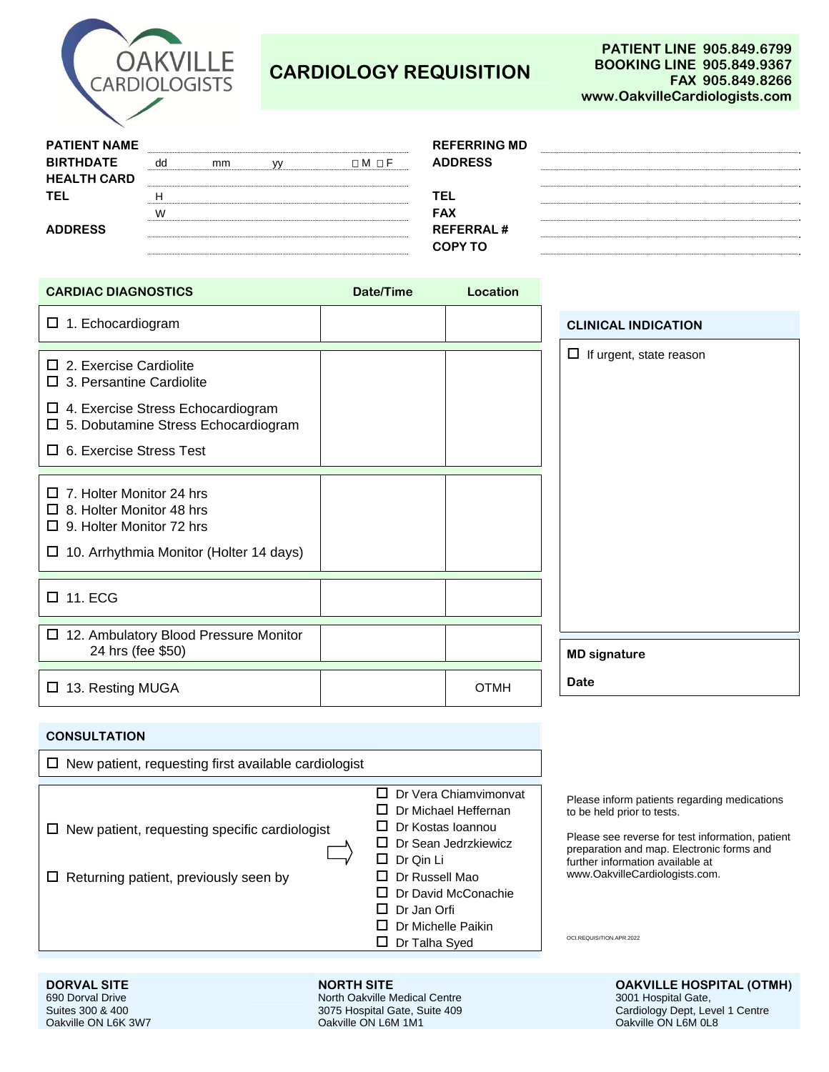

## **CARDIOLOGY REQUISITION**

|  |        | <b>REFERRING MD</b> |
|--|--------|---------------------|
|  | ⊓М ⊓ F | <b>ADDRESS</b>      |
|  |        |                     |
|  |        | ΈL                  |
|  |        | <b>FAX</b>          |
|  |        | <b>REFERRAL#</b>    |
|  |        | COPY TO             |
|  |        |                     |

| <b>REFERRING MD</b><br><b>ADDRESS</b> |  |
|---------------------------------------|--|
|                                       |  |
| FAX                                   |  |
| <b>REFERRAL#</b><br><b>COPY TO</b>    |  |
|                                       |  |

| <b>CARDIAC DIAGNOSTICS</b>                                                                                                                                                                    | Date/Time | Location    |                                |
|-----------------------------------------------------------------------------------------------------------------------------------------------------------------------------------------------|-----------|-------------|--------------------------------|
| $\Box$ 1. Echocardiogram                                                                                                                                                                      |           |             | <b>CLINICAL INDICATION</b>     |
| $\square$ 2. Exercise Cardiolite<br>$\square$ 3. Persantine Cardiolite<br>$\Box$ 4. Exercise Stress Echocardiogram<br>□ 5. Dobutamine Stress Echocardiogram<br>$\Box$ 6. Exercise Stress Test |           |             | $\Box$ If urgent, state reason |
| $\Box$ 7. Holter Monitor 24 hrs<br>$\Box$ 8. Holter Monitor 48 hrs<br>$\Box$ 9. Holter Monitor 72 hrs<br>$\Box$ 10. Arrhythmia Monitor (Holter 14 days)                                       |           |             |                                |
| $\Box$ 11. ECG                                                                                                                                                                                |           |             |                                |
| □ 12. Ambulatory Blood Pressure Monitor<br>24 hrs (fee \$50)                                                                                                                                  |           |             | <b>MD signature</b>            |
| □ 13. Resting MUGA                                                                                                                                                                            |           | <b>OTMH</b> | Date                           |

## **CONSULTATION**

| $\Box$ New patient, requesting first available cardiologist                                          |                                                                                                                                                                                                                        |                                                                                                                                                                                                                                                                               |
|------------------------------------------------------------------------------------------------------|------------------------------------------------------------------------------------------------------------------------------------------------------------------------------------------------------------------------|-------------------------------------------------------------------------------------------------------------------------------------------------------------------------------------------------------------------------------------------------------------------------------|
| $\Box$ New patient, requesting specific cardiologist<br>$\Box$ Returning patient, previously seen by | Dr Vera Chiamvimonvat<br>Dr Michael Heffernan<br>Dr Kostas Ioannou<br>Dr Sean Jedrzkiewicz<br>Dr Qin Li<br>$\mathbf{L}$<br>Dr Russell Mao<br>Dr David McConachie<br>Dr Jan Orfi<br>Dr Michelle Paikin<br>Dr Talha Syed | Please inform patients regarding medications<br>to be held prior to tests.<br>Please see reverse for test information, patient<br>preparation and map. Electronic forms and<br>further information available at<br>www.OakvilleCardiologists.com.<br>OCI.REQUISITION.APR.2022 |

North Oakville Medical Centre 3075 Hospital Gate, Suite 409 Oakville ON L6M 1M1

**DORVAL SITE CONTRACTLY CONTRACTLY ASSESSED ASSOCIATE** OF A REPORT OF OAKVILLE HOSPITAL (OTMH) 3001 Hospital Gate, Cardiology Dept, Level 1 Centre Oakville ON L6M 0L8